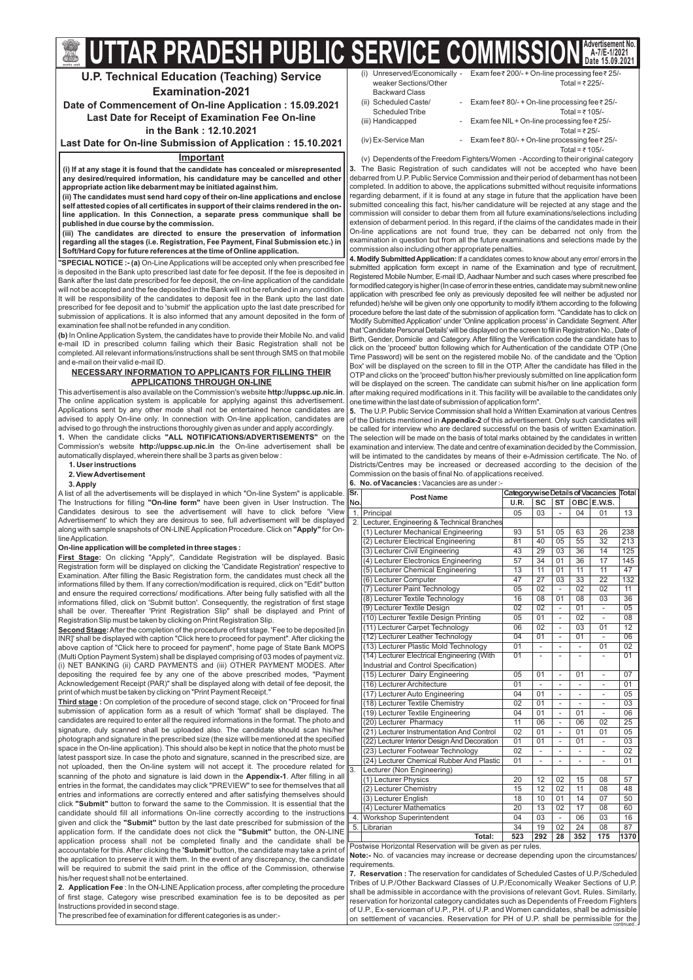**5.** The U.P. Public Service Commission shall hold a Written Examination at various Centres of the Districts mentioned in **Appendix-2** of this advertisement. Only such candidates will be called for interview who are declared successful on the basis of written Examination. The selection will be made on the basis of total marks obtained by the candidates in written examination and interview. The date and centre of examination decided by the Commission, will be intimated to the candidates by means of their e-Admission certificate. The No. of Districts/Centres may be increased or decreased according to the decision of the Commission on the basis of final No. of applications received.

6. No. of Vacancies: Vacancies are as under :-

**Note:-** No. of vacancies may increase or decrease depending upon the circumstances/ requirements.

| (i)                   | Unreserved/Economically - Exam fee ₹ 200/- + On-line processing fee ₹ 25/- |
|-----------------------|----------------------------------------------------------------------------|
| weaker Sections/Other | Total = ₹225/-                                                             |
| <b>Backward Class</b> |                                                                            |
| (ii) Scheduled Caste/ | - Exam fee $\bar{\tau}$ 80/- + On-line processing fee $\bar{\tau}$ 25/-    |
| Scheduled Tribe       | Total = $\bar{x}$ 105/-                                                    |
| (iii) Handicapped     | - Exam fee NIL + On-line processing fee ₹ 25/-                             |
|                       | Total = $\overline{z}$ 25/-                                                |
| (iv) Ex-Service Man   | - Exam fee $\bar{\tau}$ 80/- + On-line processing fee $\bar{\tau}$ 25/-    |

Total = ₹ 105/-(v) Dependentsofthe Freedom Fighters/Women -According to their original category The Basic Registration of such candidates will not be accepted who have been **3.** debarred from U.P. Public Service Commission and their period of debarment has not been completed. In addition to above, the applications submitted without requisite informations regarding debarment, if it is found at any stage in future that the application have been submitted concealing this fact, his/her candidature will be rejected at any stage and the commission will consider to debar them from all future examinations/selections including extension of debarment period. In this regard, if the claims of the candidates made in their On-line applications are not found true, they can be debarred not only from the examination in question but from all the future examinations and selections made by the commission also including other appropriate penalties.  $\check{\phantom{1}}$ 

**4. Modify Submitted Application:** If a candidates comes to know about any error/ errors in the submitted application form except in name of the Examination and type of recruitment, Registered Mobile Number, E-mail ID, Aadhaar Number and such cases where prescribed fee for modified category is higher (In case of error in these entries, candidate may submit new online application with prescribed fee only as previously deposited fee will neither be adjusted nor refunded) he/she will be given only one opportunity to modify it/them according to the following procedure before the last date of the submission of application form. "Candidate has to click on 'Modify Submitted Application' under 'Online application process' in Candidate Segment. After that 'Candidate Personal Details' will be displayed on the screen to fill in Registration No., Date of Birth, Gender, Domicile and Category. After filling the Verification code the candidate has to click on the 'proceed' button following which for Authentication of the candidate OTP (One Time Password) will be sent on the registered mobile No. of the candidate and the 'Option Box' will be displayed on the screen to fill in the OTP. After the candidate has filled in the OTP and clicks on the 'proceed' button his/her previously submitted on line application form will be displayed on the screen. The candidate can submit his/her on line application form after making required modifications in it. This facility will be available to the candidates only one time within the last date of submission of application form".

This advertisement is also available on the Commission's website **http://uppsc.up.nic.in**. The online application system is applicable for applying against this advertisement. Applications sent by any other mode shall not be entertained hence candidates are advised to apply On-line only. In connection with On-line application, candidates are advised to go through the instructions thoroughly given as under and apply accordingly.

**1.** When the candidate clicks "ALL NOTIFICATIONS/ADVERTISEMENTS" on the Commission's website **http://uppsc.up.nic.in** the On-line advertisement shall be automatically displayed, wherein there shall be 3 parts as given below :

The Instructions for filling **"On-line form"** have been given in User Instruction. The along with sample snapshots of ON-LINE Application Procedure. Click on **"Apply"** for On-A list of all the advertisements will be displayed in which "On-line System" is applicable. Candidates desirous to see the advertisement will have to click before 'View Advertisement' to which they are desirous to see, full advertisement will be displayed lineApplication.

| Sr.              | <b>PostName</b>                               |                 | Categorywise Details of Vacancies Total |                          |                          |                          |                 |
|------------------|-----------------------------------------------|-----------------|-----------------------------------------|--------------------------|--------------------------|--------------------------|-----------------|
| No.              |                                               | <b>U.R.</b>     | <b>SC</b>                               | <b>ST</b>                | <b>OBC</b>               | <b>E.W.S.</b>            |                 |
| 1.               | Principal                                     | 05              | 03                                      | $\overline{a}$           | 04                       | 01                       | 13              |
|                  | 2. Lecturer, Engineering & Technical Branches |                 |                                         |                          |                          |                          |                 |
|                  | (1) Lecturer Mechanical Engineering           | 93              | $\overline{51}$                         | 05                       | 63                       | 26                       | 238             |
|                  | (2) Lecturer Electrical Engineering           | $\overline{81}$ | 40                                      | 05                       | 55                       | $\overline{32}$          | 213             |
|                  | (3) Lecturer Civil Engineering                | 43              | 29                                      | 03                       | 36                       | $\overline{14}$          | 125             |
|                  | (4) Lecturer Electronics Engineering          | 57              | 34                                      | 01                       | 36                       | 17                       | 145             |
|                  | (5) Lecturer Chemical Engineering             | $\overline{13}$ | $\overline{11}$                         | 01                       | $\overline{11}$          | $\overline{11}$          | $\overline{47}$ |
|                  | (6) Lecturer Computer                         | 47              | $\overline{27}$                         | 03                       | $\overline{33}$          | $\overline{22}$          | 132             |
|                  | (7) Lecturer Paint Technology                 | $\overline{05}$ | $\overline{02}$                         | $\frac{1}{2}$            | $\overline{02}$          | $\overline{02}$          | $\overline{11}$ |
|                  | (8) Lecturer Textile Technology               | $\overline{16}$ | $\overline{08}$                         | 01                       | $\overline{08}$          | $\overline{03}$          | $\overline{36}$ |
|                  | (9) Lecturer Textile Design                   | $\overline{02}$ | $\overline{02}$                         | $\overline{\phantom{0}}$ | $\overline{01}$          | $\overline{\phantom{a}}$ | $\overline{05}$ |
|                  | (10) Lecturer Textile Design Printing         | $\overline{05}$ | 01                                      |                          | 02                       |                          | $\overline{08}$ |
|                  | (11) Lecturer Carpet Technology               | $\overline{06}$ | $\overline{02}$                         | $\overline{\phantom{a}}$ | $\overline{03}$          | 01                       | $\overline{12}$ |
|                  | (12) Lecturer Leather Technology              | $\overline{04}$ | $\overline{01}$                         | $\overline{a}$           | $\overline{01}$          |                          | $\overline{06}$ |
|                  | (13) Lecturer Plastic Mold Technology         | $\overline{01}$ | $\overline{\phantom{0}}$                | $\overline{a}$           |                          | $\overline{01}$          | $\overline{02}$ |
|                  | (14) Lecturer Electrical Engineering (With    | $\overline{01}$ | $\overline{a}$                          | $\overline{a}$           |                          |                          | $\overline{01}$ |
|                  | Industrial and Control Specification)         |                 |                                         |                          |                          |                          |                 |
|                  | (15) Lecturer Dairy Engineering               | 05              | 01                                      | $\overline{\phantom{a}}$ | 01                       | $\qquad \qquad -$        | $\overline{07}$ |
|                  | (16) Lecturer Architecture                    | $\overline{01}$ | $\overline{a}$                          | $\overline{\phantom{0}}$ | $\overline{\phantom{a}}$ |                          | 01              |
|                  | (17) Lecturer Auto Engineering                | $\overline{04}$ | 01                                      | $\overline{\phantom{0}}$ | $\overline{\phantom{0}}$ | $\overline{\phantom{0}}$ | 05              |
|                  | (18) Lecturer Textile Chemistry               | $\overline{02}$ | 01                                      | $\overline{\phantom{0}}$ | $\overline{a}$           | $\overline{\phantom{0}}$ | $\overline{03}$ |
|                  | (19) Lecturer Textile Engineering             | $\overline{04}$ | $\overline{01}$                         | $\overline{a}$           | 01                       | $\frac{1}{2}$            | $\overline{06}$ |
|                  | (20) Lecturer Pharmacy                        | $\overline{11}$ | 06                                      | $\overline{\phantom{a}}$ | 06                       | 02                       | 25              |
|                  | (21) Lecturer Instrumentation And Control     | 02              | 01                                      | $\overline{\phantom{a}}$ | 01                       | 01                       | 05              |
|                  | (22) Lecturer Interior Design And Decoration  | $\overline{01}$ | 01                                      | $\overline{\phantom{a}}$ | 01                       | $\overline{\phantom{a}}$ | $\overline{03}$ |
|                  | (23) Lecturer Footwear Technology             | 02              | $\overline{\phantom{0}}$                | $\overline{\phantom{0}}$ | $\overline{a}$           | $\overline{a}$           | 02              |
|                  | (24) Lecturer Chemical Rubber And Plastic     | 01              | $\overline{a}$                          | $\overline{\phantom{0}}$ | $\overline{a}$           | $\overline{a}$           | 01              |
| $\overline{3}$ . | Lecturer (Non Engineering)                    |                 |                                         |                          |                          |                          |                 |
|                  | (1) Lecturer Physics                          | 20              | 12                                      | 02                       | 15                       | 08                       | 57              |
|                  | (2) Lecturer Chemistry                        | 15              | 12                                      | 02                       | 11                       | 08                       | 48              |
|                  | (3) Lecturer English                          | 18              | 10                                      | 01                       | 14                       | 07                       | 50              |
|                  | (4) Lecturer Mathematics                      | 20              | 13                                      | 02                       | 17                       | 08                       | 60              |
| 4.               | Workshop Superintendent                       | 04              | 03                                      | $\overline{\phantom{a}}$ | 06                       | 03                       | 16              |
| 5.               | Librarian                                     | 34              | 19                                      | 02                       | 24                       | 08                       | 87              |
|                  | Total:                                        | 523             | 292                                     | 28                       | 352                      | 175                      | 1370            |

 $\mathbf{Second \, Stage}$ : After the completion of the procedure of first stage. 'Fee to be deposited [in INR]' shall be displayed with caption "Click here to proceed for payment". After clicking the above caption of "Click here to proceed for payment", home page of State Bank MOPS (Multi Option Payment System) shall be displayed comprising of 03 modes of payment viz. (i) NET BANKING (ii) CARD PAYMENTS and (iii) OTHER PAYMENT MODES. After depositing the required fee by any one of the above prescribed modes, "Payment Acknowledgement Receipt (PAR)" shall be displayed along with detail of fee deposit, the print of which must be taken by clicking on "Print Payment Receipt."

Postwise Horizontal Reservation will be given as per rules.

# **U.P. Technical Education (Teaching) Service**

## **Examination-2021**

**Date of Commencement of On-line Application : 15.09.2021 Last Date for Receipt of Examination Fee On-line in the Bank : 12.10.2021**

**Last Date for On-line Submission of Application : 15.10.2021**

### **Important**

**(i) If at any stage it is found that the candidate has concealed or misrepresented any desired/required information, his candidature may be cancelled and other appropriate action like debarment may be initiated against him.**

# **LUTTAR PRADESH PUBLIC SERVICE COMMISSION A-7/E-1/2021 Date 15.09.2021**

7. Reservation : The reservation for candidates of Scheduled Castes of U.P./Scheduled Tribes of U.P./Other Backward Classes of U.P./Economically Weaker Sections of U.P. shall be admissible in accordance with the provisions of relevant Govt. Rules. Similarly, reservation for horizontal category candidates such as Dependents of Freedom Fighters of U.P., Ex-serviceman of U.P., P.H. of U.P. and Women candidates, shall be admissible on settlement of vacancies. Reservation for PH of U.P. shall be permissible for the continued..

**(ii) The candidates must send hard copy of their on-line applications and enclose self attested copies of all certificates in support of their claims rendered in the online application. In this Connection, a separate press communique shall be published in due course by the commission.**

**(iii) The candidates are directed to ensure the preservation of information regarding all the stages (i.e. Registration, Fee Payment, Final Submission etc.) in Soft/Hard Copy for future references at the time of Online application.**

- **1. User instructions 2. ViewAdvertisement**
- 

### **3.Apply**

#### **On-line application will be completed in three stages :**

**"SPECIAL NOTICE :- (a)** On-Line Applications will be accepted only when prescribed fee is deposited in the Bank upto prescribed last date for fee deposit. If the fee is deposited in Bank after the last date prescribed for fee deposit, the on-line application of the candidate will not be accepted and the fee deposited in the Bank will not be refunded in any condition. It will be responsibility of the candidates to deposit fee in the Bank upto the last date prescribed for fee deposit and to 'submit' the application upto the last date prescribed for submission of applications. It is also informed that any amount deposited in the form of examination fee shall not be refunded in any condition.

**(b)** In OnlineApplication System, the candidates have to provide their Mobile No. and valid e-mail ID in prescribed column failing which their Basic Registration shall not be completed.All relevant informations/instructions shall be sent through SMS on that mobile and e-mail on their valid e-mail ID.

**:** On clicking "Apply", Candidate Registration will be displayed. Basic **First Stage** Registration form will be displayed on clicking the 'Candidate Registration' respective to Examination. After filling the Basic Registration form, the candidates must check all the informations filled by them. If any correction/modification is required, click on "Edit" button and ensure the required corrections/ modifications. After being fully satisfied with all the informations filled, click on 'Submit button'. Consequently, the registration of first stage shall be over. Thereafter 'Print Registration Slip" shall be displayed and Print of Registration Slip must be taken by clicking on Print Registration Slip.

**:** On completion of the procedure of second stage, click on "Proceed for final **Third stage** scanning of the photo and signature is laid down in the **Appendix-1**. After filling in all click "Submit" button to forward the same to the Commission. It is essential that the given and click the **"Submit"** button by the last date prescribed for submission of the application form. If the candidate does not click the "Submit" button, the ON-LINE accountable for this. After clicking the **'Submit'** button, the candidate may take a print of **2. Application Fee** : In the ON-LINE Application process, after completing the procedure submission of application form as a result of which 'format' shall be displayed. The candidates are required to enter all the required informations in the format. The photo and signature, duly scanned shall be uploaded also. The candidate should scan his/her hotograph and signature in the prescribed size (the size will be mentioned at the specified space in the On-line application). This should also be kept in notice that the photo must be latest passport size. In case the photo and signature, scanned in the prescribed size, are not uploaded, then the On-line system will not accept it. The procedure related for entries in the format, the candidates may click "PREVIEW" to see for themselves that all entries and informations are correctly entered and after satisfying themselves should candidate should fill all informations On-line correctly according to the instructions application process shall not be completed finally and the candidate shall be the application to preserve it with them. In the event of any discrepancy, the candidate will be required to submit the said print in the office of the Commission, otherwise his/her request shall not be entertained. of first stage, Category wise prescribed examination fee is to be deposited as per Instructions provided in second stage.

The prescribed fee of examination for different categories is as under:-

#### **NECESSARY INFORMATION TO APPLICANTS FOR FILLING THEIR APPLICATIONS THROUGH ON-LINE**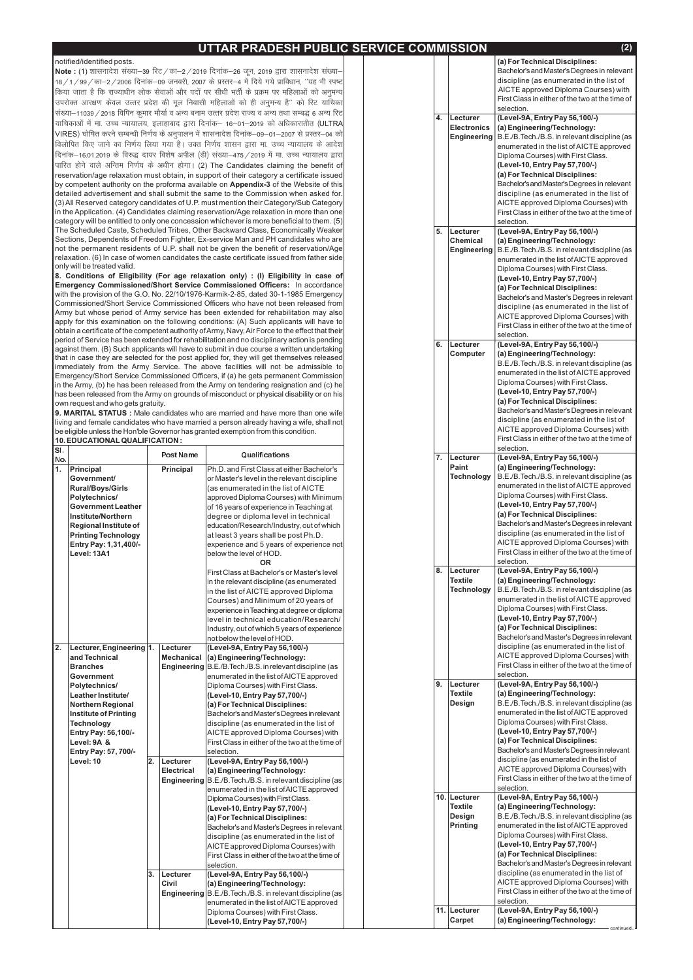# **UTTAR PRADESH PUBLIC SERVICE CO**

#### notified/identified posts.

**Note : (**1) शासनादेश संख्या–39 रिट / का–2 / 2019 दिनांक–26 जून, 2019 द्वारा शासनादेश संख्या– याचिकाओं में मा. उच्च न्यायालय, इलाहाबाद द्वारा दिनांक— 16—01—2019 को अधिकारातीत (ULTRA VIRES) घोषित करने सम्बन्धी निर्णय के अनुपालन में शासनादेश दिनांक—09—01—2007 से प्रस्तर—04 को पारित होने वाले अन्तिम निर्णय के अधीन होगा। (2) The Candidates claiming the benefit of reservation/age relaxation must obtain, in support of their category a certificate issued by competent authority on the proforma available on **Appendix-3** of the Website of this detailed advertisement and shall submit the same to the Commission when asked for. (3) All Reserved category candidates of U.P. must mention their Category/Sub Category in the Application. (4) Candidates claiming reservation/Age relaxation in more than one category will be entitled to only one concession whichever is more beneficial to them. (5) The Scheduled Caste, Scheduled Tribes, Other Backward Class, Economically Weaker Sections, Dependents of Freedom Fighter, Ex-service Man and PH candidates who are not the permanent residents of U.P. shall not be given the benefit of reservation/Age relaxation. (6) In case of women candidates the caste certificate issued from father side only will be treated valid. 18 / 1 / 99 / का-2 / 2006 दिनांक-09 जनवरी, 2007 के प्रस्तर-4 में दिये गये प्राविधान, "यह भी स्पष्ट *fd;k tkrk gS fd jkT;k/khu yksd lsokvksa vkSj inksa ij lh/kh HkrhZ ds izØe ij efgykvksa dks vuqeU; mijksDr vkj{k.k dsoy mRrj izns'k dh ewy fuoklh efgykvksa dks gh vuqeU; gS\*\* dks fjV ;kfpdk la[;k&11039@2018 fofiu dqekj ekS;kZ o vU; cuke mRrj izns'k jkT; o vU; rFkk lEc) 6 vU; fjV foyksfir fd, tkus dk fu.kZ; fy;k x;k gSA mDr fu.kZ; 'kklu }kjk ek- mPp U;k;ky; ds vkns'k दिनांक*–16.01.2019 के विरुद्ध दायर विशेष अपील (डी) संख्या–475 / 2019 में मा. उच्च न्यायालय द्वारा

**Emergency Commissioned/Short Service Commissioned Officers:** In accordance with the provision of the G.O. No. 22/10/1976-Karmik-2-85, dated 30-1-1985 Emergency Commissioned/Short Service Commissioned Officers who have not been released from Army but whose period of Army service has been extended for rehabilitation may also apply for this examination on the following conditions: (A) Such applicants will have to obtain a certificate of the competent authority of Army, Navy, Air Force to the effect that their period of Service has been extended for rehabilitation and no disciplinary action is pending against them. (B) Such applicants will have to submit in due course a written undertaking that in case they are selected for the post applied for, they will get themselves released immediately from the Army Service. The above facilities will not be admissible to Emergency/Short Service Commissioned Officers, if (a) he gets permanent Commission in the Army, (b) he has been released from the Army on tendering resignation and (c) he has been released from the Army on grounds of misconduct or physical disability or on his own request and who gets gratuity. **8. Conditions of Eligibility (For age relaxation only) : (I) Eligibility in case of**

**9. MARITAL STATUS :** Male candidates who are married and have more than one wife living and female candidates who have married a person already having a wife, shall not be eligible unless the Hon'ble Governor has granted exemption from this condition. **10. EDUCATIONAL QUALIFICATION :**

| SI.<br>No.       |                              |    | <b>Post Name</b> | Qualifications                                           |  | 7. | Lecturer          | selection.<br>(Level-9A, Entry Pay 56,100/-)    |
|------------------|------------------------------|----|------------------|----------------------------------------------------------|--|----|-------------------|-------------------------------------------------|
| 1.               | Principal                    |    | Principal        | Ph.D. and First Class at either Bachelor's               |  |    | <b>Paint</b>      | (a) Engineering/Technology:                     |
|                  | <b>Government/</b>           |    |                  | or Master's level in the relevant discipline             |  |    | <b>Technology</b> | B.E./B.Tech./B.S. in relevant discipline (as    |
|                  | <b>Rural/Boys/Girls</b>      |    |                  | (as enumerated in the list of AICTE                      |  |    |                   | enumerated in the list of AICTE approved        |
|                  | Polytechnics/                |    |                  | approved Diploma Courses) with Minimum                   |  |    |                   | Diploma Courses) with First Class.              |
|                  | <b>Government Leather</b>    |    |                  | of 16 years of experience in Teaching at                 |  |    |                   | (Level-10, Entry Pay 57,700/-)                  |
|                  | <b>Institute/Northern</b>    |    |                  | degree or diploma level in technical                     |  |    |                   | (a) For Technical Disciplines:                  |
|                  | <b>Regional Institute of</b> |    |                  | education/Research/Industry, out of which                |  |    |                   | Bachelor's and Master's Degrees in relevant     |
|                  | <b>Printing Technology</b>   |    |                  | at least 3 years shall be post Ph.D.                     |  |    |                   | discipline (as enumerated in the list of        |
|                  | Entry Pay: 1,31,400/-        |    |                  | experience and 5 years of experience not                 |  |    |                   | AICTE approved Diploma Courses) with            |
|                  | Level: 13A1                  |    |                  | below the level of HOD.                                  |  |    |                   | First Class in either of the two at the time of |
|                  |                              |    |                  | <b>OR</b>                                                |  |    |                   | selection.                                      |
|                  |                              |    |                  | First Class at Bachelor's or Master's level              |  | 8. | Lecturer          | (Level-9A, Entry Pay 56,100/-)                  |
|                  |                              |    |                  | in the relevant discipline (as enumerated                |  |    | <b>Textile</b>    | (a) Engineering/Technology:                     |
|                  |                              |    |                  | in the list of AICTE approved Diploma                    |  |    | <b>Technology</b> | B.E./B.Tech./B.S. in relevant discipline (as    |
|                  |                              |    |                  | Courses) and Minimum of 20 years of                      |  |    |                   | enumerated in the list of AICTE approved        |
|                  |                              |    |                  | experience in Teaching at degree or diploma              |  |    |                   | Diploma Courses) with First Class.              |
|                  |                              |    |                  | level in technical education/Research/                   |  |    |                   | (Level-10, Entry Pay 57,700/-)                  |
|                  |                              |    |                  | Industry, out of which 5 years of experience             |  |    |                   | (a) For Technical Disciplines:                  |
|                  |                              |    |                  | not below the level of HOD.                              |  |    |                   | Bachelor's and Master's Degrees in relevant     |
| $\overline{2}$ . | Lecturer, Engineering 1.     |    | Lecturer         | (Level-9A, Entry Pay 56,100/-)                           |  |    |                   | discipline (as enumerated in the list of        |
|                  | and Technical                |    | Mechanical       | (a) Engineering/Technology:                              |  |    |                   | AICTE approved Diploma Courses) with            |
|                  | <b>Branches</b>              |    |                  | Engineering B.E./B.Tech./B.S. in relevant discipline (as |  |    |                   | First Class in either of the two at the time of |
|                  | <b>Government</b>            |    |                  | enumerated in the list of AICTE approved                 |  |    |                   | selection.                                      |
|                  | Polytechnics/                |    |                  | Diploma Courses) with First Class.                       |  | 9. | Lecturer          | (Level-9A, Entry Pay 56,100/-)                  |
|                  | Leather Institute/           |    |                  | (Level-10, Entry Pay 57,700/-)                           |  |    | <b>Textile</b>    | (a) Engineering/Technology:                     |
|                  | <b>Northern Regional</b>     |    |                  | (a) For Technical Disciplines:                           |  |    | <b>Design</b>     | B.E./B.Tech./B.S. in relevant discipline (as    |
|                  | <b>Institute of Printing</b> |    |                  | Bachelor's and Master's Degrees in relevant              |  |    |                   | enumerated in the list of AICTE approved        |
|                  | <b>Technology</b>            |    |                  | discipline (as enumerated in the list of                 |  |    |                   | Diploma Courses) with First Class.              |
|                  | Entry Pay: 56,100/-          |    |                  | AICTE approved Diploma Courses) with                     |  |    |                   | (Level-10, Entry Pay 57,700/-)                  |
|                  | Level: 9A &                  |    |                  | First Class in either of the two at the time of          |  |    |                   | (a) For Technical Disciplines:                  |
|                  | Entry Pay: 57, 700/-         |    |                  | selection.                                               |  |    |                   | Bachelor's and Master's Degrees in relevant     |
|                  | Level: 10                    | 2. | Lecturer         | (Level-9A, Entry Pay 56, 100/-)                          |  |    |                   | discipline (as enumerated in the list of        |
|                  |                              |    | Electrical       | (a) Engineering/Technology:                              |  |    |                   | AICTE approved Diploma Courses) with            |
|                  |                              |    |                  | Engineering B.E./B.Tech./B.S. in relevant discipline (as |  |    |                   | First Class in either of the two at the time of |
|                  |                              |    |                  | enumerated in the list of AICTE approved                 |  |    |                   | selection.                                      |
|                  |                              |    |                  | Diploma Courses) with First Class.                       |  |    | 10. Lecturer      | (Level-9A, Entry Pay 56,100/-)                  |
|                  |                              |    |                  | (Level-10, Entry Pay 57,700/-)                           |  |    | <b>Textile</b>    | (a) Engineering/Technology:                     |
|                  |                              |    |                  | (a) For Technical Disciplines:                           |  |    | <b>Design</b>     | B.E./B.Tech./B.S. in relevant discipline (as    |
|                  |                              |    |                  | Bachelor's and Master's Degrees in relevant              |  |    | Printing          | enumerated in the list of AICTE approved        |
|                  |                              |    |                  | discipline (as enumerated in the list of                 |  |    |                   | Diploma Courses) with First Class.              |
|                  |                              |    |                  | AICTE approved Diploma Courses) with                     |  |    |                   | (Level-10, Entry Pay 57,700/-)                  |
|                  |                              |    |                  | First Class in either of the two at the time of          |  |    |                   | (a) For Technical Disciplines:                  |
|                  |                              |    |                  | selection.                                               |  |    |                   | Bachelor's and Master's Degrees in relevant     |
|                  |                              | 3. | Lecturer         | (Level-9A, Entry Pay 56,100/-)                           |  |    |                   | discipline (as enumerated in the list of        |
|                  |                              |    | <b>Civil</b>     | (a) Engineering/Technology:                              |  |    |                   | AICTE approved Diploma Courses) with            |
|                  |                              |    |                  | Engineering B.E./B.Tech./B.S. in relevant discipline (as |  |    |                   | First Class in either of the two at the time of |
|                  |                              |    |                  | enumerated in the list of AICTE approved                 |  |    |                   | selection.                                      |
|                  |                              |    |                  | Diploma Courses) with First Class.                       |  |    | 11. Lecturer      | (Level-9A, Entry Pay 56, 100/-)                 |
|                  |                              |    |                  | (Level-10, Entry Pay 57,700/-)                           |  |    | Carpet            | (a) Engineering/Technology:<br>continued        |

|    | <b>IMMISSION</b>   | (2)                                                              |
|----|--------------------|------------------------------------------------------------------|
|    |                    | (a) For Technical Disciplines:                                   |
|    |                    | Bachelor's and Master's Degrees in relevant                      |
|    |                    | discipline (as enumerated in the list of                         |
|    |                    | AICTE approved Diploma Courses) with                             |
|    |                    | First Class in either of the two at the time of                  |
|    |                    | selection.                                                       |
| 4. | Lecturer           | (Level-9A, Entry Pay 56,100/-)                                   |
|    | <b>Electronics</b> | (a) Engineering/Technology:                                      |
|    | <b>Engineering</b> | B.E./B.Tech./B.S. in relevant discipline (as                     |
|    |                    | enumerated in the list of AICTE approved                         |
|    |                    | Diploma Courses) with First Class.                               |
|    |                    | (Level-10, Entry Pay 57,700/-)                                   |
|    |                    | (a) For Technical Disciplines:                                   |
|    |                    | Bachelor's and Master's Degrees in relevant                      |
|    |                    | discipline (as enumerated in the list of                         |
|    |                    | AICTE approved Diploma Courses) with                             |
|    |                    | First Class in either of the two at the time of                  |
|    |                    | selection.                                                       |
| 5. | Lecturer           | (Level-9A, Entry Pay 56,100/-)                                   |
|    | <b>Chemical</b>    | (a) Engineering/Technology:                                      |
|    | <b>Engineering</b> | B.E./B.Tech./B.S. in relevant discipline (as                     |
|    |                    | enumerated in the list of AICTE approved                         |
|    |                    | Diploma Courses) with First Class.                               |
|    |                    | (Level-10, Entry Pay 57,700/-)                                   |
|    |                    | (a) For Technical Disciplines:                                   |
|    |                    | Bachelor's and Master's Degrees in relevant                      |
|    |                    | discipline (as enumerated in the list of                         |
|    |                    | AICTE approved Diploma Courses) with                             |
|    |                    | First Class in either of the two at the time of                  |
|    |                    | selection.                                                       |
| 6. | Lecturer           | (Level-9A, Entry Pay 56,100/-)                                   |
|    | Computer           | (a) Engineering/Technology:                                      |
|    |                    | B.E./B.Tech./B.S. in relevant discipline (as                     |
|    |                    | enumerated in the list of AICTE approved                         |
|    |                    | Diploma Courses) with First Class.                               |
|    |                    | (Level-10, Entry Pay 57,700/-)<br>(a) For Technical Disciplines: |
|    |                    | Bachelor's and Master's Degrees in relevant                      |
|    |                    | discipline (as enumerated in the list of                         |
|    |                    | AICTE approved Diploma Courses) with                             |
|    |                    | First Class in either of the two at the time of                  |
|    |                    | selection.                                                       |
| 7. | Lecturer           | (Level-9A, Entry Pay 56,100/-)                                   |
|    | Paint              | (a) Engineering/Technology:                                      |
|    | <b>Technology</b>  | B.E./B.Tech./B.S. in relevant discipline (as                     |
|    |                    | enumerated in the list of AICTE approved                         |
|    |                    | Diploma Courses) with First Class.                               |
|    |                    | (Level-10, Entry Pay 57,700/-)                                   |
|    |                    | (a) For Technical Disciplines:                                   |
|    |                    | Bachelor's and Master's Degrees in relevant                      |
|    |                    | discipline (as enumerated in the list of                         |
|    |                    | AICTE approved Diploma Courses) with                             |
|    |                    | First Class in either of the two at the time of                  |
|    |                    | selection.                                                       |
| 8. | Lecturer           | (Level-9A, Entry Pay 56,100/-)                                   |
|    | <b>Textile</b>     | (a) Engineering/Technology:                                      |
|    | <b>Technology</b>  | B.E./B.Tech./B.S. in relevant discipline (as                     |
|    |                    | enumerated in the list of AICTE approved                         |
|    |                    | Diploma Courses) with First Class.                               |
|    |                    | (Level-10, Entry Pay 57,700/-)                                   |
|    |                    | (a) For Technical Disciplines:                                   |
|    |                    | Bachelor's and Master's Degrees in relevant                      |
|    |                    | discipline (as enumerated in the list of                         |
|    |                    | AICTE approved Diploma Courses) with                             |
|    |                    | First Class in either of the two at the time of                  |
|    |                    | selection.                                                       |
| 9. | Lecturer           | (Level-9A, Entry Pay 56,100/-)                                   |
|    | <b>Textile</b>     | (a) Engineering/Technology:                                      |
|    | Design             | B.E./B.Tech./B.S. in relevant discipline (as                     |
|    |                    | enumerated in the list of AICTE approved                         |
|    |                    | Diploma Courses) with First Class.                               |
|    |                    | (Level-10, Entry Pay 57,700/-)                                   |
|    |                    | (a) For Technical Disciplines:                                   |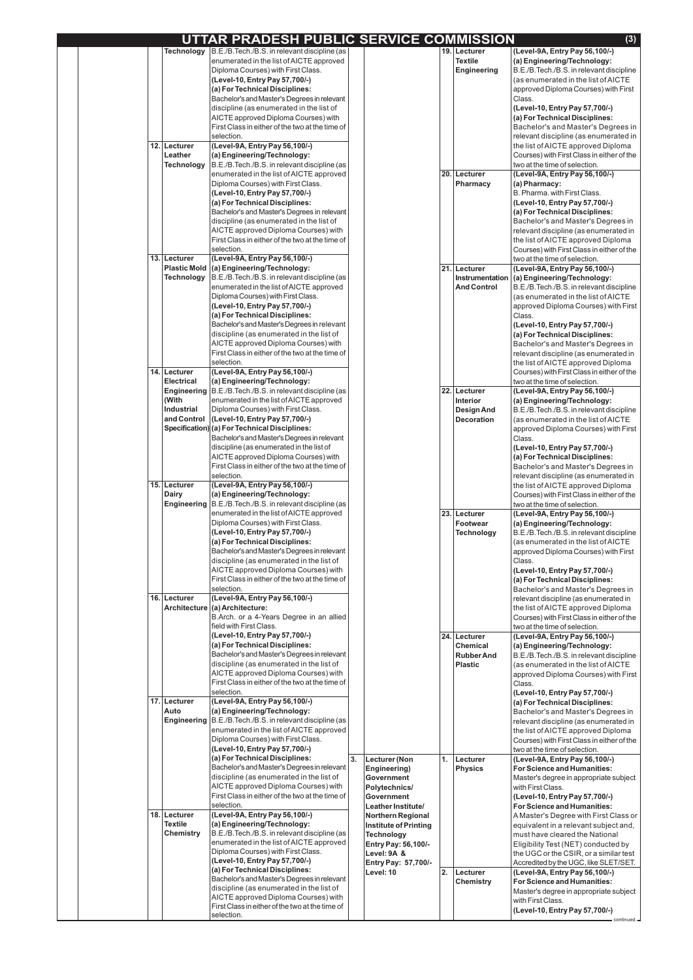|  |     |                                  | UTTAR PRADESH PUBLIC SERVICE COMMISSION                                                                        |    |                                                 |    |                                      | (3)                                                                              |
|--|-----|----------------------------------|----------------------------------------------------------------------------------------------------------------|----|-------------------------------------------------|----|--------------------------------------|----------------------------------------------------------------------------------|
|  |     | <b>Technology</b>                | B.E./B. Tech./B.S. in relevant discipline (as                                                                  |    |                                                 |    | 19. Lecturer                         | (Level-9A, Entry Pay 56, 100/-)                                                  |
|  |     |                                  | enumerated in the list of AICTE approved                                                                       |    |                                                 |    | <b>Textile</b>                       | (a) Engineering/Technology:                                                      |
|  |     |                                  | Diploma Courses) with First Class.                                                                             |    |                                                 |    | <b>Engineering</b>                   | B.E./B.Tech./B.S. in relevant discipline                                         |
|  |     |                                  | (Level-10, Entry Pay 57,700/-)<br>(a) For Technical Disciplines:                                               |    |                                                 |    |                                      | (as enumerated in the list of AICTE<br>approved Diploma Courses) with First      |
|  |     |                                  | Bachelor's and Master's Degrees in relevant                                                                    |    |                                                 |    |                                      | Class.                                                                           |
|  |     |                                  | discipline (as enumerated in the list of                                                                       |    |                                                 |    |                                      | (Level-10, Entry Pay 57,700/-)                                                   |
|  |     |                                  | AICTE approved Diploma Courses) with                                                                           |    |                                                 |    |                                      | (a) For Technical Disciplines:                                                   |
|  |     |                                  | First Class in either of the two at the time of                                                                |    |                                                 |    |                                      | Bachelor's and Master's Degrees in                                               |
|  |     | 12. Lecturer                     | selection.<br>(Level-9A, Entry Pay 56, 100/-)                                                                  |    |                                                 |    |                                      | relevant discipline (as enumerated in<br>the list of AICTE approved Diploma      |
|  |     | Leather                          | (a) Engineering/Technology:                                                                                    |    |                                                 |    |                                      | Courses) with First Class in either of the                                       |
|  |     | <b>Technology</b>                | B.E./B.Tech./B.S. in relevant discipline (as                                                                   |    |                                                 |    |                                      | two at the time of selection.                                                    |
|  |     |                                  | enumerated in the list of AICTE approved                                                                       |    |                                                 |    | 20. Lecturer                         | (Level-9A, Entry Pay 56, 100/-)                                                  |
|  |     |                                  | Diploma Courses) with First Class.                                                                             |    |                                                 |    | Pharmacy                             | (a) Pharmacy:                                                                    |
|  |     |                                  | (Level-10, Entry Pay 57,700/-)<br>(a) For Technical Disciplines:                                               |    |                                                 |    |                                      | B. Pharma. with First Class.<br>(Level-10, Entry Pay 57,700/-)                   |
|  |     |                                  | Bachelor's and Master's Degrees in relevant                                                                    |    |                                                 |    |                                      | (a) For Technical Disciplines:                                                   |
|  |     |                                  | discipline (as enumerated in the list of                                                                       |    |                                                 |    |                                      | Bachelor's and Master's Degrees in                                               |
|  |     |                                  | AICTE approved Diploma Courses) with                                                                           |    |                                                 |    |                                      | relevant discipline (as enumerated in                                            |
|  |     |                                  | First Class in either of the two at the time of                                                                |    |                                                 |    |                                      | the list of AICTE approved Diploma                                               |
|  |     | 13. Lecturer                     | selection.<br>(Level-9A, Entry Pay 56,100/-)                                                                   |    |                                                 |    |                                      | Courses) with First Class in either of the<br>two at the time of selection.      |
|  |     |                                  | Plastic Mold  (a) Engineering/Technology:                                                                      |    |                                                 |    | 21. Lecturer                         | (Level-9A, Entry Pay 56, 100/-)                                                  |
|  |     | <b>Technology</b>                | B.E./B.Tech./B.S. in relevant discipline (as                                                                   |    |                                                 |    | Instrumentation                      | (a) Engineering/Technology:                                                      |
|  |     |                                  | enumerated in the list of AICTE approved                                                                       |    |                                                 |    | <b>And Control</b>                   | B.E./B.Tech./B.S. in relevant discipline                                         |
|  |     |                                  | Diploma Courses) with First Class.                                                                             |    |                                                 |    |                                      | (as enumerated in the list of AICTE                                              |
|  |     |                                  | (Level-10, Entry Pay 57,700/-)<br>(a) For Technical Disciplines:                                               |    |                                                 |    |                                      | approved Diploma Courses) with First<br>Class.                                   |
|  |     |                                  | Bachelor's and Master's Degrees in relevant                                                                    |    |                                                 |    |                                      | (Level-10, Entry Pay 57,700/-)                                                   |
|  |     |                                  | discipline (as enumerated in the list of                                                                       |    |                                                 |    |                                      | (a) For Technical Disciplines:                                                   |
|  |     |                                  | AICTE approved Diploma Courses) with                                                                           |    |                                                 |    |                                      | Bachelor's and Master's Degrees in                                               |
|  |     |                                  | First Class in either of the two at the time of                                                                |    |                                                 |    |                                      | relevant discipline (as enumerated in                                            |
|  |     | 14. Lecturer                     | selection.<br>(Level-9A, Entry Pay 56,100/-)                                                                   |    |                                                 |    |                                      | the list of AICTE approved Diploma<br>Courses) with First Class in either of the |
|  |     | <b>Electrical</b>                | (a) Engineering/Technology:                                                                                    |    |                                                 |    |                                      | two at the time of selection.                                                    |
|  |     |                                  | Engineering   B.E./B. Tech./B.S. in relevant discipline (as                                                    |    |                                                 |    | 22. Lecturer                         | (Level-9A, Entry Pay 56, 100/-)                                                  |
|  |     | (With                            | enumerated in the list of AICTE approved                                                                       |    |                                                 |    | Interior                             | (a) Engineering/Technology:                                                      |
|  |     | <b>Industrial</b><br>and Control | Diploma Courses) with First Class.<br>(Level-10, Entry Pay 57,700/-)                                           |    |                                                 |    | <b>Design And</b>                    | B.E./B.Tech./B.S. in relevant discipline                                         |
|  |     |                                  | Specification) (a) For Technical Disciplines:                                                                  |    |                                                 |    | <b>Decoration</b>                    | (as enumerated in the list of AICTE<br>approved Diploma Courses) with First      |
|  |     |                                  | Bachelor's and Master's Degrees in relevant                                                                    |    |                                                 |    |                                      | Class.                                                                           |
|  |     |                                  | discipline (as enumerated in the list of                                                                       |    |                                                 |    |                                      | (Level-10, Entry Pay 57,700/-)                                                   |
|  |     |                                  | AICTE approved Diploma Courses) with<br>First Class in either of the two at the time of                        |    |                                                 |    |                                      | (a) For Technical Disciplines:<br>Bachelor's and Master's Degrees in             |
|  |     |                                  | selection.                                                                                                     |    |                                                 |    |                                      | relevant discipline (as enumerated in                                            |
|  |     | 15. Lecturer                     | (Level-9A, Entry Pay 56,100/-)                                                                                 |    |                                                 |    |                                      | the list of AICTE approved Diploma                                               |
|  |     | <b>Dairy</b>                     | (a) Engineering/Technology:                                                                                    |    |                                                 |    |                                      | Courses) with First Class in either of the                                       |
|  |     |                                  | <b>Engineering</b>   B.E./B. Tech./B.S. in relevant discipline (as<br>enumerated in the list of AICTE approved |    |                                                 |    | 23. Lecturer                         | two at the time of selection.<br>(Level-9A, Entry Pay 56,100/-)                  |
|  |     |                                  | Diploma Courses) with First Class.                                                                             |    |                                                 |    | Footwear                             | (a) Engineering/Technology:                                                      |
|  |     |                                  | (Level-10, Entry Pay 57,700/-)                                                                                 |    |                                                 |    | <b>Technology</b>                    | B.E./B.Tech./B.S. in relevant discipline                                         |
|  |     |                                  | (a) For Technical Disciplines:                                                                                 |    |                                                 |    |                                      | (as enumerated in the list of AICTE                                              |
|  |     |                                  | Bachelor's and Master's Degrees in relevant<br>discipline (as enumerated in the list of                        |    |                                                 |    |                                      | approved Diploma Courses) with First<br>Class.                                   |
|  |     |                                  | AICTE approved Diploma Courses) with                                                                           |    |                                                 |    |                                      | (Level-10, Entry Pay 57,700/-)                                                   |
|  |     |                                  | First Class in either of the two at the time of                                                                |    |                                                 |    |                                      | (a) For Technical Disciplines:                                                   |
|  |     |                                  | selection.                                                                                                     |    |                                                 |    |                                      | Bachelor's and Master's Degrees in                                               |
|  | 16. | Lecturer                         | (Level-9A, Entry Pay 56,100/-)<br>Architecture (a) Architecture:                                               |    |                                                 |    |                                      | relevant discipline (as enumerated in<br>the list of AICTE approved Diploma      |
|  |     |                                  | B.Arch. or a 4-Years Degree in an allied                                                                       |    |                                                 |    |                                      | Courses) with First Class in either of the                                       |
|  |     |                                  | field with First Class.                                                                                        |    |                                                 |    |                                      | two at the time of selection.                                                    |
|  |     |                                  | (Level-10, Entry Pay 57,700/-)                                                                                 |    |                                                 |    | 24. Lecturer                         | (Level-9A, Entry Pay 56,100/-)                                                   |
|  |     |                                  | (a) For Technical Disciplines:<br>Bachelor's and Master's Degrees in relevant                                  |    |                                                 |    | <b>Chemical</b><br><b>Rubber And</b> | (a) Engineering/Technology:<br>B.E./B.Tech./B.S. in relevant discipline          |
|  |     |                                  | discipline (as enumerated in the list of                                                                       |    |                                                 |    | <b>Plastic</b>                       | (as enumerated in the list of AICTE                                              |
|  |     |                                  | AICTE approved Diploma Courses) with                                                                           |    |                                                 |    |                                      | approved Diploma Courses) with First                                             |
|  |     |                                  | First Class in either of the two at the time of                                                                |    |                                                 |    |                                      | Class.                                                                           |
|  |     | 17. Lecturer                     | selection.<br>(Level-9A, Entry Pay 56,100/-)                                                                   |    |                                                 |    |                                      | (Level-10, Entry Pay 57,700/-)<br>(a) For Technical Disciplines:                 |
|  |     | Auto                             | (a) Engineering/Technology:                                                                                    |    |                                                 |    |                                      | Bachelor's and Master's Degrees in                                               |
|  |     | <b>Engineering</b>               | B.E./B.Tech./B.S. in relevant discipline (as                                                                   |    |                                                 |    |                                      | relevant discipline (as enumerated in                                            |
|  |     |                                  | enumerated in the list of AICTE approved                                                                       |    |                                                 |    |                                      | the list of AICTE approved Diploma                                               |
|  |     |                                  | Diploma Courses) with First Class.<br>(Level-10, Entry Pay 57,700/-)                                           |    |                                                 |    |                                      | Courses) with First Class in either of the                                       |
|  |     |                                  | (a) For Technical Disciplines:                                                                                 | 3. | Lecturer (Non                                   | 1. | Lecturer                             | two at the time of selection.<br>(Level-9A, Entry Pay 56, 100/-)                 |
|  |     |                                  | Bachelor's and Master's Degrees in relevant                                                                    |    | Engineering)                                    |    | <b>Physics</b>                       | <b>For Science and Humanities:</b>                                               |
|  |     |                                  | discipline (as enumerated in the list of                                                                       |    | Government                                      |    |                                      | Master's degree in appropriate subject                                           |
|  |     |                                  | AICTE approved Diploma Courses) with<br>First Class in either of the two at the time of                        |    | Polytechnics/<br>Government                     |    |                                      | with First Class.<br>(Level-10, Entry Pay 57,700/-)                              |
|  |     |                                  | selection.                                                                                                     |    | Leather Institute/                              |    |                                      | <b>For Science and Humanities:</b>                                               |
|  | 18. | Lecturer                         | (Level-9A, Entry Pay 56,100/-)                                                                                 |    | <b>Northern Regional</b>                        |    |                                      | A Master's Degree with First Class or                                            |
|  |     | <b>Textile</b>                   | (a) Engineering/Technology:                                                                                    |    | Institute of Printing                           |    |                                      | equivalent in a relevant subject and,                                            |
|  |     | <b>Chemistry</b>                 | B.E./B.Tech./B.S. in relevant discipline (as<br>enumerated in the list of AICTE approved                       |    | <b>Technology</b><br><b>Entry Pay: 56,100/-</b> |    |                                      | must have cleared the National<br>Eligibility Test (NET) conducted by            |
|  |     |                                  | Diploma Courses) with First Class.                                                                             |    | Level: 9A &                                     |    |                                      | the UGC or the CSIR, or a similar test                                           |
|  |     |                                  | (Level-10, Entry Pay 57,700/-)                                                                                 |    | Entry Pay: 57,700/-                             |    |                                      | Accredited by the UGC, like SLET/SET.                                            |
|  |     |                                  | (a) For Technical Disciplines:<br>Bachelor's and Master's Degrees in relevant                                  |    | Level: 10                                       | 2. | Lecturer                             | (Level-9A, Entry Pay 56,100/-)                                                   |
|  |     |                                  | discipline (as enumerated in the list of                                                                       |    |                                                 |    | <b>Chemistry</b>                     | <b>For Science and Humanities:</b><br>Master's degree in appropriate subject     |
|  |     |                                  | AICTE approved Diploma Courses) with                                                                           |    |                                                 |    |                                      | with First Class.                                                                |
|  |     |                                  | First Class in either of the two at the time of<br>selection.                                                  |    |                                                 |    |                                      | (Level-10, Entry Pay 57,700/-)                                                   |
|  |     |                                  |                                                                                                                |    |                                                 |    |                                      | continued.                                                                       |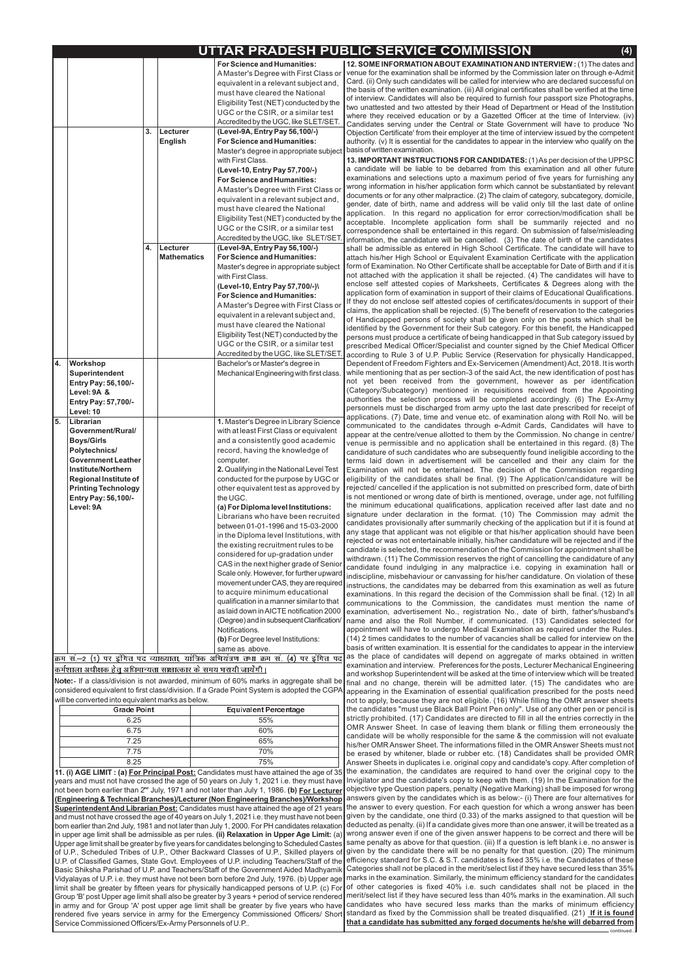continued..

| UTTAR PRADESH PUBLIC SERVICE COMMISSION |  |
|-----------------------------------------|--|
|                                         |  |

|    |                                                                                                                                                                                                                                  |          |                                        | <b>For Science and Humanities:</b><br>A Master's Degree with First Class or<br>equivalent in a relevant subject and,<br>must have cleared the National<br>Eligibility Test (NET) conducted by the<br>UGC or the CSIR, or a similar test<br>Accredited by the UGC, like SLET/SET.                                                                                                                                                                                                                                                                                                                                                                                                                                                                                                                                                                                                                                                                                                                                           |
|----|----------------------------------------------------------------------------------------------------------------------------------------------------------------------------------------------------------------------------------|----------|----------------------------------------|----------------------------------------------------------------------------------------------------------------------------------------------------------------------------------------------------------------------------------------------------------------------------------------------------------------------------------------------------------------------------------------------------------------------------------------------------------------------------------------------------------------------------------------------------------------------------------------------------------------------------------------------------------------------------------------------------------------------------------------------------------------------------------------------------------------------------------------------------------------------------------------------------------------------------------------------------------------------------------------------------------------------------|
|    |                                                                                                                                                                                                                                  | 3.<br>4. | Lecturer<br><b>English</b><br>Lecturer | (Level-9A, Entry Pay 56,100/-)<br><b>For Science and Humanities:</b><br>Master's degree in appropriate subject<br>with First Class.<br>(Level-10, Entry Pay 57,700/-)<br><b>For Science and Humanities:</b><br>A Master's Degree with First Class or<br>equivalent in a relevant subject and,<br>must have cleared the National<br>Eligibility Test (NET) conducted by the<br>UGC or the CSIR, or a similar test<br>Accredited by the UGC, like SLET/SET.<br>(Level-9A, Entry Pay 56,100/-)                                                                                                                                                                                                                                                                                                                                                                                                                                                                                                                                |
|    |                                                                                                                                                                                                                                  |          | <b>Mathematics</b>                     | <b>For Science and Humanities:</b><br>Master's degree in appropriate subject<br>with First Class.<br>(Level-10, Entry Pay 57, 700/-)\<br><b>For Science and Humanities:</b><br>A Master's Degree with First Class or<br>equivalent in a relevant subject and,<br>must have cleared the National<br>Eligibility Test (NET) conducted by the<br>UGC or the CSIR, or a similar test<br>Accredited by the UGC, like SLET/SET.                                                                                                                                                                                                                                                                                                                                                                                                                                                                                                                                                                                                  |
| 4. | Workshop<br>Superintendent<br>Entry Pay: 56,100/-<br>Level: 9A &<br><b>Entry Pay: 57,700/-</b><br>Level: 10                                                                                                                      |          |                                        | Bachelor's or Master's degree in<br>Mechanical Engineering with first class.                                                                                                                                                                                                                                                                                                                                                                                                                                                                                                                                                                                                                                                                                                                                                                                                                                                                                                                                               |
| 5. | Librarian<br>Government/Rural/<br><b>Boys/Girls</b><br>Polytechnics/<br><b>Government Leather</b><br><b>Institute/Northern</b><br><b>Regional Institute of</b><br><b>Printing Technology</b><br>Entry Pay: 56,100/-<br>Level: 9A |          |                                        | 1. Master's Degree in Library Science<br>with at least First Class or equivalent<br>and a consistently good academic<br>record, having the knowledge of<br>computer.<br>2. Qualifying in the National Level Test<br>conducted for the purpose by UGC or<br>other equivalent test as approved by<br>the UGC.<br>(a) For Diploma level Institutions:<br>Librarians who have been recruited<br>between 01-01-1996 and 15-03-2000<br>in the Diploma level Institutions, with<br>the existing recruitment rules to be<br>considered for up-gradation under<br>CAS in the next higher grade of Senior<br>Scale only. However, for further upward<br>movement under CAS, they are required<br>to acquire minimum educational<br>qualification in a manner similar to that<br>as laid down in AICTE notification 2000<br>(Degree) and in subsequent Clarification/<br>Notifications.<br>(b) For Degree level Institutions:<br>same as above.<br>क्रम स.–2 (1) पर इंगित पद व्याख्याता, यात्रिक अभियत्रण तथा क्रम स. (4) पर इंगित पद |
|    | कर्मशाला अधीक्षक हेतु अधिमान्यता साक्षात्कार के समय भरायी जायेंगी।                                                                                                                                                               |          |                                        |                                                                                                                                                                                                                                                                                                                                                                                                                                                                                                                                                                                                                                                                                                                                                                                                                                                                                                                                                                                                                            |

Note:- If a class/division is not awarded, minimum of 60% marks in aggregate shall be considered equivalent to first class/division. If a Grade Point System is adopted the CGPA will be converted into equivalent marks as below.

**11. (i) AGE LIMIT : (a) <u>For Principal Post:</u> C**andidates must have attained the age of 35 not been born earlier than 2<sup>nd</sup> July, 1971 and not later than July 1, 1986. **(b) <u>For Lecturer</u>** in upper age limit shall be admissible as per rules. **(ii) Relaxation in Upper Age Limit:** (a) years and must not have crossed the age of 50 years on July 1, 2021 i.e. they must have  ${\bf Superintendent And Librarian Post:}$  <code>Candidates</code> must have attained the age of 21 years and must not have crossed the age of 40 years on July 1, 2021 i.e. they must have not been born earlier than 2nd July, 1981 and not later than July 1, 2000. For PH candidates relaxation Upper age limit shall be greater by five years for candidates belonging to Scheduled Castes of U.P., Scheduled Tribes of U.P., Other Backward Classes of U.P., Skilled players of U.P. of Classified Games, State Govt. Employees of U.P. including Teachers/Staff of the Basic Shiksha Parishad of U.P. and Teachers/Staff of the Government Aided Madhyamik Vidyalayas of U.P. i.e. they must have not been born before 2nd July, 1976. (b) Upper age limit shall be greater by fifteen years for physically handicapped persons of U.P. (c) For Group 'B' post Upper age limit shall also be greater by 3 years + period of service rendered in army and for Group 'A' post upper age limit shall be greater by five years who have rendered five years service in army for the Emergency Commissioned Officers/ Short Service Commissioned Officers/Ex-Army Personnels of U.P.. **(Engineering & Technical Branches)/Lecturer (Non Engineering Branches)/Workshop**

| <b>Grade Point</b> | <b>Equivalent Percentage</b> |
|--------------------|------------------------------|
| 6.25               | 55%                          |
| 6.75               | 60%                          |
| 7.25               | 65%                          |
| 7.75               | 70%                          |
| 8.25               | 75%                          |

**12. SOME INFORMATION ABOUT EXAMINATION AND INTERVIEW :** (1) The dates and venue for the examination shall be informed by the Commission later on through e-Admit Card. (ii) Only such candidates will be called for interview who are declared successful on the basis of the written examination. (iii) All original certificates shall be verified at the time of interview. Candidates will also be required to furnish four passport size Photographs, two unattested and two attested by their Head of Department or Head of the Institution where they received education or by a Gazetted Officer at the time of Interview. (iv) Candidates serving under the Central or State Government will have to produce 'No Objection Certificate' from their employer at the time of interview issued by the competent authority. (v) It is essential for the candidates to appear in the interview who qualify on the basisofwritten examination.

**13. IMPORTANT INSTRUCTIONS FOR CANDIDATES:** (1)As per decision of the UPPSC a candidate will be liable to be debarred from this examination and all other future examinations and selections upto a maximum period of five years for furnishing any wrong information in his/her application form which cannot be substantiated by relevant documents or for any other malpractice. (2) The claim of category, subcategory, domicile, gender, date of birth, name and address will be valid only till the last date of online application. In this regard no application for error correction/modification shall be acceptable. Incomplete application form shall be summarily rejected and no correspondence shall be entertained in this regard. On submission of false/misleading information, the candidature will be cancelled. (3) The date of birth of the candidates shall be admissible as entered in High School Certificate. The candidate will have to attach his/her High School or Equivalent Examination Certificate with the application form of Examination. No Other Certificate shall be acceptable for Date of Birth and if it is not attached with the application it shall be rejected. (4) The candidates will have to enclose self attested copies of Marksheets, Certificates & Degrees along with the application form of examination in support of their claims of Educational Qualifications. If they do not enclose self attested copies of certificates/documents in support of their claims, the application shall be rejected. (5) The benefit of reservation to the categories of Handicapped persons of society shall be given only on the posts which shall be identified by the Government for their Sub category. For this benefit, the Handicapped persons must produce a certificate of being handicapped in that Sub category issued by prescribed Medical Officer/Specialist and counter signed by the Chief Medical Officer according to Rule 3 of U.P. Public Service (Reservation for physically Handicapped, Dependent of Freedom Fighters and Ex-Servicemen (Amendment) Act, 2018. It is worth while mentioning that as per section-3 of the said Act, the new identification of post has not yet been received from the government, however as per identification (Category/Subcategory) mentioned in requisitions received from the Appointing authorities the selection process will be completed accordingly. (6) The Ex-Army personnels must be discharged from army upto the last date prescribed for receipt of applications. (7) Date, time and venue etc. of examination along with Roll No. will be communicated to the candidates through e-Admit Cards, Candidates will have to appear at the centre/venue allotted to them by the Commission. No change in centre/ venue is permissible and no application shall be entertained in this regard. (8) The candidature of such candidates who are subsequently found ineligible according to the terms laid down in advertisement will be cancelled and their any claim for the Examination will not be entertained. The decision of the Commission regarding eligibility of the candidates shall be final. (9) The Application/candidature will be rejected/ cancelled if the application is not submitted on prescribed form, date of birth is not mentioned or wrong date of birth is mentioned, overage, under age, not fulfilling the minimum educational qualifications, application received after last date and no signature under declaration in the format. (10) The Commission may admit the candidates provisionally after summarily checking of the application but if it is found at any stage that applicant was not eligible or that his/her application should have been rejected or was not entertainable initially, his/her candidature will be rejected and if the candidate is selected, the recommendation of the Commission for appointment shall be withdrawn. (11) The Commission reserves the right of cancelling the candidature of any candidate found indulging in any malpractice i.e. copying in examination hall or indiscipline, misbehaviour or canvassing for his/her candidature. On violation of these instructions, the candidates may be debarred from this examination as well as future examinations. In this regard the decision of the Commission shall be final. (12) In all communications to the Commission, the candidates must mention the name of examination, advertisement No., registration No., date of birth, father's/husband's name and also the Roll Number, if communicated. (13) Candidates selected for appointment will have to undergo Medical Examination as required under the Rules. (14) 2 times candidates to the number of vacancies shall be called for interview on the basis of written examination. It is essential for the candidates to appear in the interview as the place of candidates will depend on aggregate of marks obtained in written examination and interview. Preferences for the posts, Lecturer Mechanical Engineering and workshop Superintendent will be asked at the time of interview which will be treated final and no change, therein will be admitted later. (15) The candidates who are appearing in the Examination of essential qualification prescribed for the posts need not to apply, because they are not eligible. (16) While filling the OMR answer sheets the candidates "must use Black Ball Point Pen only". Use of any other pen or pencil is strictly prohibited. (17) Candidates are directed to fill in all the entries correctly in the OMR Answer Sheet. In case of leaving them blank or filling them erroneously the candidate will be wholly responsible for the same & the commission will not evaluate his/her OMR Answer Sheet. The informations filled in the OMR Answer Sheets must not be erased by whitener, blade or rubber etc. (18) Candidates shall be provided OMR Answer Sheets in duplicates i.e. original copy and candidate's copy. After completion of the examination, the candidates are required to hand over the original copy to the Invigilator and the candidate's copy to keep with them. (19) In the Examination for the objective type Question papers, penalty (Negative Marking) shall be imposed for wrong answers given by the candidates which is as below:- (i) There are four alternatives for the answer to every question. For each question for which a wrong answer has been given by the candidate, one third (0.33) of the marks assigned to that question will be deducted as penalty. (ii) If a candidate gives more than one answer, it will be treated as a wrong answer even if one of the given answer happens to be correct and there will be same penalty as above for that question. (iii) If a question is left blank i.e. no answer is given by the candidate there will be no penalty for that question. (20) The minimum efficiency standard for S.C. & S.T. candidates is fixed 35% i.e. the Candidates of these Categories shall not be placed in the merit/select list if they have secured less than 35% marks in the examination. Similarly, the minimum efficiency standard for the candidates of other categories is fixed 40% i.e. such candidates shall not be placed in the merit/select list if they have secured less than 40% marks in the examination. All such candidates who have secured less marks than the marks of minimum efficiency standard as fixed by the Commission shall be treated disqualified. (21) **If it is found that a candidate has submitted any forged documents he/she will debarred from**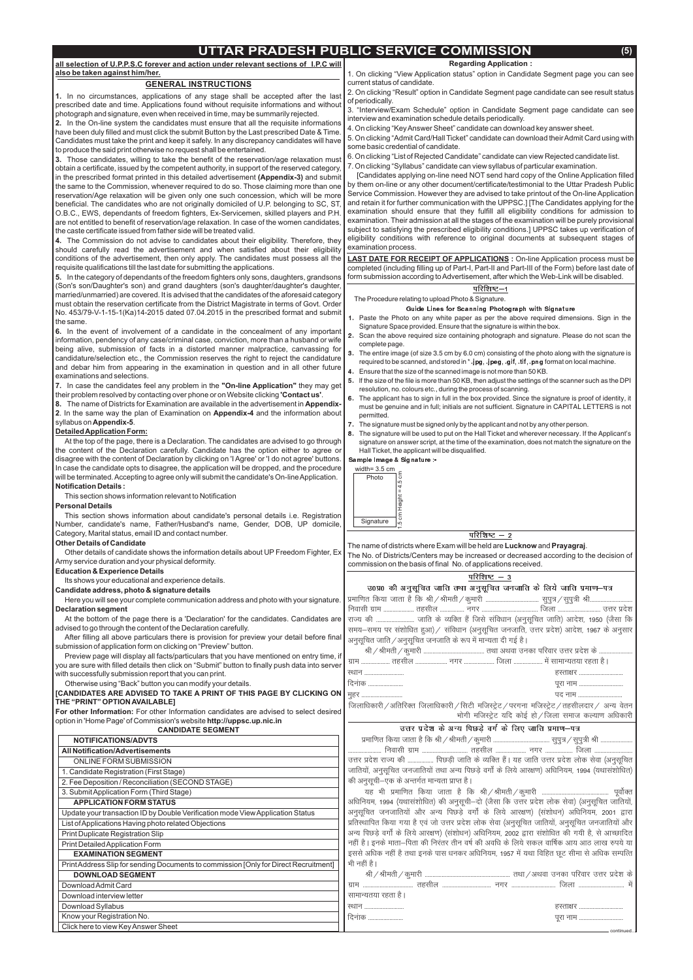# **UTTAR PRADESH PUBLIC SERVICE COMMISSION (5)**

**all selection of U.P.P.S.C forever and action under relevant sections of I.P.C will also be taken against him/her.**

**Notification Details :** At the top of the page, there is a Declaration. The candidates are advised to go through the content of the Declaration carefully. Candidate has the option either to agree or disagree with the content of Declaration by clicking on 'I Agree' or 'I do not agree' buttons. In case the candidate opts to disagree, the application will be dropped, and the procedure will be terminated. Accepting to agree only will submit the candidate's On-line Application.

#### **DetailedApplication Form:**

#### **GENERAL INSTRUCTIONS**

**For other Information:** For other Information candidates are advised to select desired option in 'Home Page' of Commission's website **http://uppsc.up.nic.in** 

#### **Personal Details**

#### **Other Details of Candidate**

#### **Education & Experience Details**

#### **Candidate address, photo & signature details**

#### **[CANDIDATES ARE ADVISED TO TAKE A PRINT OF THIS PAGE BY CLICKING ON THE "PRINT" OPTIONAVAILABLE]**

**1.** In no circumstances, applications of any stage shall be accepted after the last prescribed date and time. Applications found without requisite informations and without photograph and signature, even when received in time, may be summarily rejected.

# **CANDIDATE SEGMENT**

**2.** In the On-line system the candidates must ensure that all the requisite informations have been duly filled and must click the submit Button by the Last prescribed Date & Time. Candidates must take the print and keep it safely. In any discrepancy candidates will have to produce the said print otherwise no request shall be entertained.

**3.** Those candidates, willing to take the benefit of the reservation/age relaxation must in the prescribed format printed in this detailed advertisement **(Appendix-3)** and submit obtain a certificate, issued by the competent authority, in support of the reserved category, the same to the Commission, whenever required to do so. Those claiming more than one reservation/Age relaxation will be given only one such concession, which will be more beneficial. The candidates who are not originally domiciled of U.P. belonging to SC, ST, O.B.C., EWS, dependants of freedom fighters, Ex-Servicemen, skilled players and P.H. are not entitled to benefit of reservation/age relaxation. In case of the women candidates, the caste certificate issued from father side will be treated valid.

**4.** The Commission do not advise to candidates about their eligibility. Therefore, they should carefully read the advertisement and when satisfied about their eligibility conditions of the advertisement, then only apply. The candidates must possess all the requisite qualifications till the last date for submitting the applications.

**5.** In the category of dependants of the freedom fighters only sons, daughters, grandsons (Son's son/Daughter's son) and grand daughters (son's daughter/daughter's daughter, married/unmarried) are covered. It is advised that the candidates of the aforesaid category must obtain the reservation certificate from the District Magistrate in terms of Govt. Order No. 453/79-V-1-15-1(Ka)14-2015 dated 07.04.2015 in the prescribed format and submit the same.

**6.** In the event of involvement of a candidate in the concealment of any important information, pendency of any case/criminal case, conviction, more than a husband or wife being alive, submission of facts in a distorted manner malpractice, canvassing for candidature/selection etc., the Commission reserves the right to reject the candidature and debar him from appearing in the examination in question and in all other future examinations and selections.

**7.** In case the candidates feel any problem in the **"On-line Application"** they may get their problem resolved by contacting over phone or on Website clicking **'Contact us'**.

**8.** The name of Districts for Examination are available in the advertisement in Appendix-**2**. In the same way the plan of Examination on Appendix-4 and the information about syllabus on **Appendix-5**.

**Declaration segment** Here you will see your complete communication address and photo with your signature.

5. On clicking "Admit Card/Hall Ticket" candidate can download their Admit Card using with some basic credential of candidate.

The name of districts where Exam will be held are **Lucknow** and **Prayagraj**. The No. of Districts/Centers may be increased or decreased according to the decision of commission on the basis of final No. of applications received.

### परिशिष्ट $-3$

This section shows information relevant to Notification

This section shows information about candidate's personal details i.e. Registration Number, candidate's name, Father/Husband's name, Gender, DOB, UP domicile, Category, Marital status, email ID and contact number.

Other details of candidate shows the information details about UP Freedom Fighter, Ex Army service duration and your physical deformity.

Its shows your educational and experience details.

At the bottom of the page there is a 'Declaration' for the candidates. Candidates are advised to go through the content of the Declaration carefully.

After filling all above particulars there is provision for preview your detail before final submission of application form on clicking on "Preview" button.

Preview page will display all facts/particulars that you have mentioned on entry time, if you are sure with filled details then click on "Submit" button to finally push data into server with successfully submission report that you can print.

Otherwise using "Back" button you can modify your details.

| उ0प्र0 की अनुसूचित जाति तथा अनुसूचित जनजाति के लिये जाति प्रमाण–पत्र                         |
|----------------------------------------------------------------------------------------------|
|                                                                                              |
|                                                                                              |
| राज्य की  जाति के व्यक्ति हैं जिसे संविधान (अनुसूचित जाति) आदेश, 1950 (जैसा कि               |
| समय–समय पर संशोधित हुआ)/ संविधान (अनुसूचित जनजाति, उत्तर प्रदेश) आदेश, 1967 के अनुसार        |
| अनुसूचित जाति ⁄ अनुसूचित जनजाति के रूप में मान्यता दी गई है।                                 |
|                                                                                              |
|                                                                                              |
| हस्ताक्षर<br>स्थान                                                                           |
| दिनांक<br>पूरा नाम                                                                           |
| पद नाम<br><u>म</u> ुहर                                                                       |
| जिलाधिकारी / अतिरिक्त जिलाधिकारी / सिटी मजिस्ट्रेट / परगना मजिस्ट्रेट / तहसीलदार / अन्य वेतन |
| भोगी मजिस्ट्रेट यदि कोई हो / जिला समाज कल्याण अधिकारी                                        |

#### उत्तर प्रदेश के अन्य पिछडे वर्ग के लिए जाति प्रमाण-पत्र *izekf.kr fd;k tkrk gS fd Jh@Jherh@dqekjh ------------------------------------- lqiq=@lqiq=h Jh ---------------------*

**Regarding Application :**

1. On clicking "View Application status" option in Candidate Segment page you can see current status of candidate.

| <b>NOTIFICATIONS/ADVTS</b>                                                           |                                                                                                 |
|--------------------------------------------------------------------------------------|-------------------------------------------------------------------------------------------------|
| <b>All Notification/Advertisements</b>                                               |                                                                                                 |
| ONLINE FORM SUBMISSION                                                               | उत्तर प्रदेश राज्य की  पिछड़ी जाति के व्यक्ति हैं। यह जाति उत्तर प्रदेश लोक सेवा (अनुसूचित      |
| 1. Candidate Registration (First Stage)                                              | जातियों, अनुसूचित जनजातियों तथा अन्य पिछड़े वर्गों के लिये आरक्षण) अधिनियम, 1994 (यथासंशोधित)   |
| 2. Fee Deposition / Reconciliation (SECOND STAGE)                                    | की अनुसूची–एक के अन्तर्गत मान्यता प्राप्त है।                                                   |
| 3. Submit Application Form (Third Stage)                                             |                                                                                                 |
| <b>APPLICATION FORM STATUS</b>                                                       | अधिनियम, 1994 (यथासंशोधित) की अनुसूची-दो (जैसा कि उत्तर प्रदेश लोक सेवा) (अनुसूचित जातियों,     |
| Update your transaction ID by Double Verification mode View Application Status       | अनुसूचित जनजातियों और अन्य पिछड़े वर्गों के लिये आरक्षण) (संशोधन) अधिनियम, 2001 द्वारा          |
| List of Applications Having photo related Objections                                 | प्रतिस्थापित किया गया है एवं जो उत्तर प्रदेश लोक सेवा (अनुसूचित जातियों, अनुसूचित जनजातियों और  |
| Print Duplicate Registration Slip                                                    | अन्य पिछड़े वर्गों के लिये आरक्षण) (संशोधन) अधिनियम, 2002 द्वारा संशोधित की गयी है, से आच्छादित |
| Print Detailed Application Form                                                      | नहीं है। इनके माता–पिता की निरंतर तीन वर्ष की अवधि के लिये सकल वार्षिक आय आठ लाख रुपये या       |
| <b>EXAMINATION SEGMENT</b>                                                           | इससे अधिक नहीं है तथा इनके पास धनकर अधिनियम, 1957 में यथा विहित छूट सीमा से अधिक सम्पत्ति       |
| Print Address Slip for sending Documents to commission [Only for Direct Recruitment] | भी नहीं है।                                                                                     |
| <b>DOWNLOAD SEGMENT</b>                                                              |                                                                                                 |
| Download Admit Card                                                                  |                                                                                                 |
| Download interview letter                                                            | सामान्यतया रहता है।                                                                             |
| Download Syllabus                                                                    | हस्ताक्षर<br>रथान                                                                               |
| Know your Registration No.                                                           | दिनांक<br>पूरा नाम                                                                              |
| Click here to view Key Answer Sheet                                                  | - continued.                                                                                    |

2. On clicking "Result" option in Candidate Segment page candidate can see result status of periodically.

3. "Interview/Exam Schedule" option in Candidate Segment page candidate can see interview and examination schedule details periodically.

4. On clicking "KeyAnswer Sheet" candidate can download key answer sheet.

6. On clicking "List of Rejected Candidate" candidate can view Rejected candidate list.

7. On clicking "Syllabus" candidate can view syllabus of particular examination.

[Candidates applying on-line need NOT send hard copy of the Online Application filled by them on-line or any other document/certificate/testimonial to the Uttar Pradesh Public Service Commission. However they are advised to take printout of the On-line Application and retain it for further communication with the UPPSC.] [The Candidates applying for the examination should ensure that they fulfill all eligibility conditions for admission to examination. Their admission at all the stages of the examination will be purely provisional subject to satisfying the prescribed eligibility conditions.] UPPSC takes up verification of eligibility conditions with reference to original documents at subsequent stages of examination process.

**LAST DATE FOR RECEIPT OF APPLICATIONS** : On-line Application process must be completed (including filling up of Part-I, Part-II and Part-III of the Form) before last date of form submission according to Advertisement, after which the Web-Link will be disabled.

#### परिशिष्ट—1

#### Guide Lines for Scanning Photograph with Signature

#### Sample Image & Signature :-

The Procedure relating to upload Photo & Signature.

- 1. Paste the Photo on any white paper as per the above required dimensions. Sign in the Signature Space provided. Ensure that the signature is within the box.
- 2. Scan the above required size containing photograph and signature. Please do not scan the complete page.
- 3. required to be scanned, and stored in  $*$  .jpg, .jpeg, .gif, .tif, .png format on local machine. The entire image (of size 3.5 cm by 6.0 cm) consisting of the photo along with the signature is
- 4. Ensure that the size of the scanned image is not more than 50 KB.
- 5. lf the size of the file is more than 50 KB, then adjust the settings of the scanner such as the DPI resolution, no. colours etc., during the process of scanning.
- 6. The applicant has to sign in full in the box provided. Since the signature is proof of identity, it must be genuine and in full; initials are not sufficient. Signature in CAPITAL LETTERS is not permitted.
- 7. The signature must be signed only by the applicant and not by any other person.
- 8. The signature will be used to put on the Hall Ticket and wherever necessary. If the Applicant's signature on answer script, at the time of the examination, does not match the signature on the Hall Ticket, the applicant will be disqualified.

| width= $3.5$ cm<br>Photo<br>$\circ$<br>LO<br>4<br>ш<br>eight |              |                          |        |  |
|--------------------------------------------------------------|--------------|--------------------------|--------|--|
| ট<br>Signature<br>LO<br>$\overline{ }$                       |              |                          |        |  |
|                                                              | ारिशिष्ट – 2 | $\overline{\phantom{a}}$ | $\sim$ |  |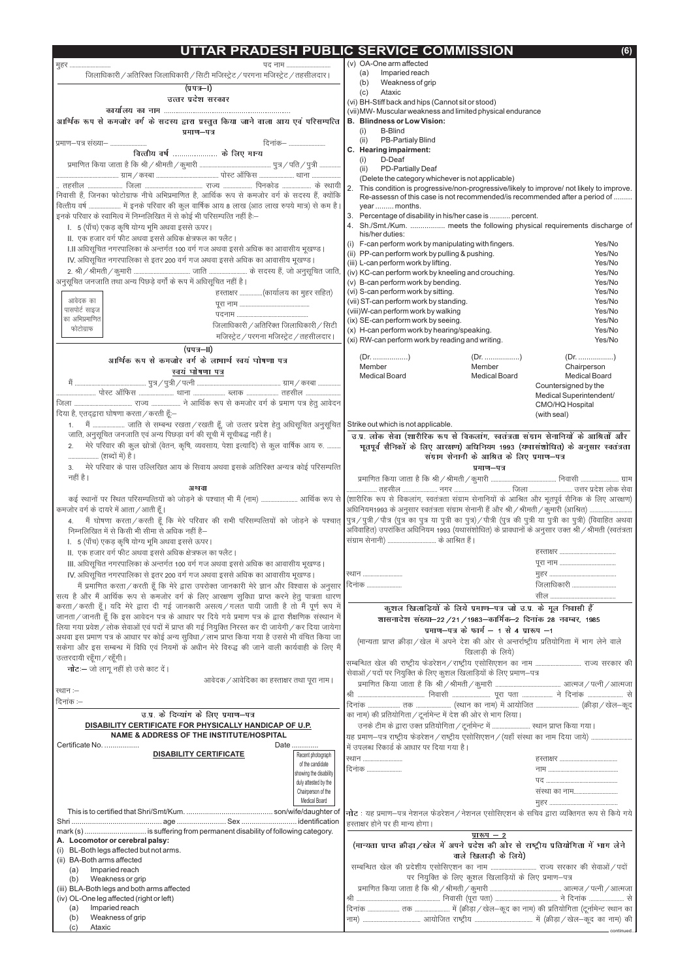|                                                                                                       | TAR PRADESH PUBLIC SERVICE COMMISSION                                                                                                               | (6) |
|-------------------------------------------------------------------------------------------------------|-----------------------------------------------------------------------------------------------------------------------------------------------------|-----|
| पद नाम<br>मूहर                                                                                        | (v) OA-One arm affected                                                                                                                             |     |
| जिलाधिकारी / अतिरिक्त जिलाधिकारी / सिटी मजिस्ट्रेट / परगना मजिस्ट्रेट / तहसीलदार।                     | Imparied reach<br>(a)                                                                                                                               |     |
| (प्रपत्र—I)                                                                                           | Weakness of grip<br>(b)                                                                                                                             |     |
| उत्तर प्रदेश सरकार                                                                                    | Ataxic<br>(c)                                                                                                                                       |     |
|                                                                                                       | (vi) BH-Stiff back and hips (Cannot sit or stood)<br>(vii) MW- Muscular weakness and limited physical endurance                                     |     |
| आर्थिक रूप से कमजोर वर्ग के सदस्य द्वारा प्रस्तुत किया जाने वाला आय एवं परिसम्पत्ति                   | <b>B. Blindness or Low Vision:</b>                                                                                                                  |     |
| प्रमाण–पत्र                                                                                           | <b>B-Blind</b><br>(i)                                                                                                                               |     |
| दिनांक–<br>प्रमाण–पत्र संख्या–                                                                        | PB-Partialy Blind<br>(ii)                                                                                                                           |     |
| वित्तीय वर्ष  के लिए मान्य                                                                            | C. Hearing impairment:                                                                                                                              |     |
|                                                                                                       | D-Deaf<br>(i)                                                                                                                                       |     |
|                                                                                                       | PD-Partially Deaf<br>(ii)                                                                                                                           |     |
|                                                                                                       | (Delete the category whichever is not applicable)<br>12.<br>This condition is progressive/non-progressive/likely to improve/ not likely to improve. |     |
|                                                                                                       | Re-assessn of this case is not recommended/is recommended after a period of                                                                         |     |
| वित्तीय वर्ष  में इनके परिवार की कुल वार्षिक आय 8 लाख (आठ लाख रुपये मात्र) से कम है।                  | year  months.                                                                                                                                       |     |
| इनके परिवार के स्वामित्व में निम्नलिखित में से कोई भी परिसम्पत्ति नहीं है:--                          | Percentage of disability in his/her case is  percent.<br>3.                                                                                         |     |
| I. 5 (पाँच) एकड़ कृषि योग्य भूमि अथवा इससे ऊपर।                                                       | 4. Sh./Smt./Kum.  meets the following physical requirements discharge of                                                                            |     |
| II. एक हजार वर्ग फीट अथवा इससे अधिक क्षेत्रफल का फ्लैट                                                | his/her duties:<br>(i) F-can perform work by manipulating with fingers.<br>Yes/No                                                                   |     |
| I.II अधिसूचित नगरपालिका के अन्तर्गत 100 वर्ग गज अथवा इससे अधिक का आवासीय भूखण्ड                       | (ii) PP-can perform work by pulling & pushing.<br>Yes/No                                                                                            |     |
| IV. अधिसूचित नगरपालिका से इतर 200 वर्ग गज अथवा इससे अधिक का आवासीय भूखण्ड।                            | (iii) L-can perform work by lifting.<br>Yes/No                                                                                                      |     |
|                                                                                                       | (iv) KC-can perform work by kneeling and crouching.<br>Yes/No                                                                                       |     |
| अनुसूचित जनजाति तथा अन्य पिछड़े वर्गों के रूप में अधिसूचित नहीं है।                                   | (v) B-can perform work by bending.<br>Yes/No                                                                                                        |     |
| हस्ताक्षर (कार्यालय का मुहर सहित)                                                                     | Yes/No<br>(vi) S-can perform work by sitting.                                                                                                       |     |
| आवेदक का<br>पासपोर्ट साइज                                                                             | (vii) ST-can perform work by standing.<br>Yes/No                                                                                                    |     |
| का अभिप्रमाणित                                                                                        | (viii)W-can perform work by walking<br>Yes/No<br>(ix) SE-can perform work by seeing.<br>Yes/No                                                      |     |
| जिलाधिकारी / अतिरिक्त जिलाधिकारी / सिटी<br>फोटोग्राफ                                                  | (x) H-can perform work by hearing/speaking.<br>Yes/No                                                                                               |     |
| मजिस्ट्रेट / परगना मजिस्ट्रेट / तहसीलदार।                                                             | (xi) RW-can perform work by reading and writing.<br>Yes/No                                                                                          |     |
| $(y \nu \rightarrow -\nu)$                                                                            |                                                                                                                                                     |     |
| आर्थिक रूप से कमजोर वर्ग के लामार्थ स्वय घोषणा पत्र                                                   |                                                                                                                                                     |     |
| <u>स्वयं घोषणा पत्र</u>                                                                               | Member<br>Member<br>Chairperson<br><b>Medical Board</b><br><b>Medical Board</b><br><b>Medical Board</b>                                             |     |
|                                                                                                       | Countersigned by the                                                                                                                                |     |
|                                                                                                       | Medical Superintendent/                                                                                                                             |     |
|                                                                                                       | CMO/HQ Hospital                                                                                                                                     |     |
| दिया है, एतद्द्वारा घोषणा करता / करती हूँ:-                                                           | (with seal)                                                                                                                                         |     |
| 1.     मैं  जाति से सम्बन्ध रखता / रखती हूँ, जो उत्तर प्रदेश हेतु अधिसूचित अनुसूचित                   | Strike out which is not applicable.                                                                                                                 |     |
| जाति, अनुसूचित जनजाति एवं अन्य पिछड़ा वर्ग की सूची में सूचीबद्ध नहीं है।                              | उ.प्र. लोक सेवा (शारीरिक रूप से विकलाग, स्वतंत्रता संग्राम सेनानियों के आश्रितों और                                                                 |     |
| मेरे परिवार की कुल स्रोत्रों (वेतन, कृषि, व्यवसाय, पेशा इत्यादि) से कुल वार्षिक आय रु.<br>2.          | भूतपूर्व सैनिको के लिए आरक्षण) अधिनियम 1993 (यथासशोधित) के अनुसार स्वतंत्रता                                                                        |     |
| (शब्दों में) है ।                                                                                     | संग्राम सेनानी के आश्रित के लिए प्रमाण-पत्र                                                                                                         |     |
| मेरे परिवार के पास उल्लिखित आय के सिवाय अथवा इसके अतिरिक्त अन्यत्र कोई परिसम्पत्ति<br>3.              | प्रमाण-पत्र                                                                                                                                         |     |
| नहीं है।                                                                                              |                                                                                                                                                     |     |
| अथवा<br>कई स्थानों पर स्थित परिसम्पत्तियों को जोड़ने के पश्चात् भी मैं (नाम)  आर्थिक रूप से           | (शारीरिक रूप से विकलांग, स्वतंत्रता संग्राम सेनानियों के आश्रित और भूतपूर्व सैनिक के लिए आरक्षण)                                                    |     |
| कमजोर वर्ग के दायरे में आता / आती हूँ।                                                                | आधिनियम1993 के अनुसार स्वतंत्रता संग्राम सेनानी हैं और श्री / श्रीमती / कूमारी (आश्रित)                                                             |     |
| मैं घोषणा करता / करती हूँ कि मेरे परिवार की सभी परिसम्पत्तियों को जोड़ने के पश्चात्<br>4.             | पुत्र/पुत्री/पौत्र (पुत्र का पुत्र या पुत्री का पुत्र)/पौत्री (पुत्र की पुत्री या पुत्री का पुत्री) (विवाहित अथवा                                   |     |
| निम्नलिखित में से किसी भी सीमा से अधिक नहीं है—                                                       | अविवाहित) उपरांकित अधिनियम 1993 (यथासंशोधित) के प्रावधानों के अनुसार उक्त श्री / श्रीमती (स्वतंत्रता                                                |     |
| I. 5 (पाँच) एकड़ कृषि योग्य भूमि अथवा इससे ऊपर।                                                       | संग्राम सेनानी)  के आश्रित हैं।                                                                                                                     |     |
| II. एक हजार वर्ग फीट अथवा इससे अधिक क्षेत्रफल का फ्लैट।                                               |                                                                                                                                                     |     |
| III. अधिसूचित नगरपालिका के अन्तर्गत 100 वर्ग गज अथवा इससे अधिक का आवासीय भूखण्ड                       |                                                                                                                                                     |     |
| IV. अधिसूचित नगरपालिका से इतर 200 वर्ग गज अथवा इससे अधिक का आवासीय भूखण्ड।                            | स्थान                                                                                                                                               |     |
| मैं प्रमाणित करता / करती हूँ कि मेरे द्वारा उपरोक्त जानकारी मेरे ज्ञान और विश्वास के अनुसार           | .<br>जिलाधिकारी<br> दिनांक                                                                                                                          |     |
| सत्य है और मैं आर्थिक रूप से कमजोर वर्ग के लिए आरक्षण सुविधा प्राप्त करने हेतु पात्रता धारण           |                                                                                                                                                     |     |
| करता / करती हूँ। यदि मेरे द्वारा दी गई जानकारी असत्य / गलत पायी जाती है तो मैं पूर्ण रूप में          | कुशल खिलाड़ियों के लिये प्रमाण-पत्र जो उ.प्र. के मूल निवासी हैं                                                                                     |     |
| जानता / जानती हूँ कि इस आवेदन पत्र के आधार पर दिये गये प्रमाण पत्र के द्वारा शैक्षणिक संस्थान में     | शासनादेश संख्या-22 / 21 / 1983-कार्मिक-2 दिनांक 28 नवम्बर, 1985                                                                                     |     |
| लिया गया प्रवेश / लोक सेवाओं एवं पदों में प्राप्त की गई नियुक्ति निरस्त कर दी जायेगी / कर दिया जायेगा | प्रमाण-पत्र के फार्म $-1$ से 4 प्रारूप $-1$                                                                                                         |     |
| अथवा इस प्रमाण पत्र के आधार पर कोई अन्य सुविधा / लाभ प्राप्त किया गया है उससे भी वंचित किया जा        | (मान्यता प्राप्त क्रीड़ा / खेल में अपने देश की ओर से अन्तर्राष्ट्रीय प्रतियोगिता में भाग लेने वाले                                                  |     |
| सकेगा और इस सम्बन्ध में विधि एवं नियमों के अधीन मेरे विरुद्ध की जाने वाली कार्यवाही के लिए मैं        | खिलाड़ी के लिये)                                                                                                                                    |     |
| उत्तरदायी रहूँगा / रहूँगी।                                                                            | सम्बन्धित खेल की राष्ट्रीय फेडरेशन/राष्ट्रीय एसोसिएशन का नाम  राज्य सरकार की                                                                        |     |
| <b>नोट</b> – जो लागू नहीं हो उसे काट दें।                                                             | सेवाओं / पदों पर नियुक्ति के लिए कुशल खिलाड़ियों के लिए प्रमाण–पत्र                                                                                 |     |
| आवेदक / आवेदिका का हस्ताक्षर तथा पूरा नाम।                                                            |                                                                                                                                                     |     |
| स्थान :-                                                                                              |                                                                                                                                                     |     |
| दिनांक :--                                                                                            |                                                                                                                                                     |     |
| उ.प्र के दिव्याग के लिए प्रमाण-पत्र                                                                   | का नाम) की प्रतियोगिता / टूर्नामेन्ट में देश की ओर से भाग लिया।                                                                                     |     |
| DISABILITY CERTIFICATE FOR PHYSICALLY HANDICAP OF U.P.                                                | उनके टीम के द्वारा उक्त प्रतियोगिता / टूर्नामेन्ट में  स्थान प्राप्त किया गया।                                                                      |     |
| NAME & ADDRESS OF THE INSTITUTE/HOSPITAL                                                              | यह प्रमाण-पत्र राष्ट्रीय फेडरेशन/राष्ट्रीय एसोसिएशन/(यहाँ संस्था का नाम दिया जाये)                                                                  |     |

| Certificate No.                                                         | Date                   | में उपलब्ध रिकार्ड के आधार पर दिया गया है।                                                   |  |  |  |
|-------------------------------------------------------------------------|------------------------|----------------------------------------------------------------------------------------------|--|--|--|
| <b>DISABILITY CERTIFICATE</b>                                           | Recent photograph      | रथान                                                                                         |  |  |  |
|                                                                         | of the candidate       | दिनांक                                                                                       |  |  |  |
|                                                                         | showing the disability |                                                                                              |  |  |  |
|                                                                         | duly attested by the   |                                                                                              |  |  |  |
|                                                                         | Chairperson of the     | संस्था का नाम                                                                                |  |  |  |
|                                                                         | Medical Board          |                                                                                              |  |  |  |
|                                                                         |                        | नोट : यह प्रमाण–पत्र नेशनल फेडरेशन / नेशनल एसोसिएशन के सचिव द्वारा व्यक्तिगत रूप से किये गये |  |  |  |
|                                                                         |                        | हिस्ताक्षर होने पर ही मान्य होगा।                                                            |  |  |  |
| mark (s)  is suffering from permanent disability of following category. |                        | प्रारूप $-2$                                                                                 |  |  |  |
| A. Locomotor or cerebral palsy:                                         |                        | (मान्यता प्राप्त क्रीड़ा / खेल में अपने प्रदेश की ओर से राष्ट्रीय प्रतियोगिता में भाग लेने   |  |  |  |
| BL-Both legs affected but not arms.<br>(i)                              |                        | वाले खिलाड़ी के लिये)                                                                        |  |  |  |
| (ii) BA-Both arms affected                                              |                        |                                                                                              |  |  |  |
| Imparied reach<br>(a)                                                   |                        |                                                                                              |  |  |  |
| Weakness or grip<br>(b)                                                 |                        | पर नियुक्ति के लिए कुशल खिलाड़ियों के लिए प्रमाण-पत्र                                        |  |  |  |
| (iii) BLA-Both legs and both arms affected                              |                        |                                                                                              |  |  |  |
| (iv) OL-One leg affected (right or left)                                |                        |                                                                                              |  |  |  |
| Imparied reach<br>(a)                                                   |                        |                                                                                              |  |  |  |
| Weakness of grip<br>(b)                                                 |                        | नाम)                                                                                         |  |  |  |
| Ataxic<br>(c)                                                           |                        | - continued                                                                                  |  |  |  |